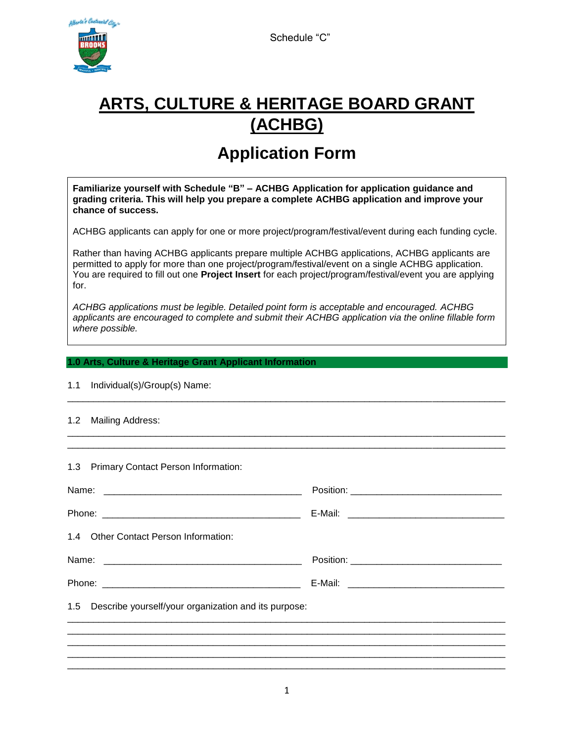Schedule "C"



# **ARTS, CULTURE & HERITAGE BOARD GRANT (ACHBG)**

## **Application Form**

**Familiarize yourself with Schedule "B" – ACHBG Application for application guidance and grading criteria. This will help you prepare a complete ACHBG application and improve your chance of success.**

ACHBG applicants can apply for one or more project/program/festival/event during each funding cycle.

Rather than having ACHBG applicants prepare multiple ACHBG applications, ACHBG applicants are permitted to apply for more than one project/program/festival/event on a single ACHBG application. You are required to fill out one **Project Insert** for each project/program/festival/event you are applying for.

*ACHBG applications must be legible. Detailed point form is acceptable and encouraged. ACHBG applicants are encouraged to complete and submit their ACHBG application via the online fillable form where possible.*

\_\_\_\_\_\_\_\_\_\_\_\_\_\_\_\_\_\_\_\_\_\_\_\_\_\_\_\_\_\_\_\_\_\_\_\_\_\_\_\_\_\_\_\_\_\_\_\_\_\_\_\_\_\_\_\_\_\_\_\_\_\_\_\_\_\_\_\_\_\_\_\_\_\_\_\_\_\_\_\_\_\_\_\_

\_\_\_\_\_\_\_\_\_\_\_\_\_\_\_\_\_\_\_\_\_\_\_\_\_\_\_\_\_\_\_\_\_\_\_\_\_\_\_\_\_\_\_\_\_\_\_\_\_\_\_\_\_\_\_\_\_\_\_\_\_\_\_\_\_\_\_\_\_\_\_\_\_\_\_\_\_\_\_\_\_\_\_\_ \_\_\_\_\_\_\_\_\_\_\_\_\_\_\_\_\_\_\_\_\_\_\_\_\_\_\_\_\_\_\_\_\_\_\_\_\_\_\_\_\_\_\_\_\_\_\_\_\_\_\_\_\_\_\_\_\_\_\_\_\_\_\_\_\_\_\_\_\_\_\_\_\_\_\_\_\_\_\_\_\_\_\_\_

#### **1.0 Arts, Culture & Heritage Grant Applicant Information**

|  | 1.1 Individual(s)/Group(s) Name: |  |
|--|----------------------------------|--|
|--|----------------------------------|--|

#### 1.2 Mailing Address:

1.3 Primary Contact Person Information:

| 1.4 Other Contact Person Information:                                            |  |  |  |  |
|----------------------------------------------------------------------------------|--|--|--|--|
|                                                                                  |  |  |  |  |
|                                                                                  |  |  |  |  |
| 1.5 Describe yourself/your organization and its purpose:                         |  |  |  |  |
|                                                                                  |  |  |  |  |
|                                                                                  |  |  |  |  |
| ,我们就会在这里,我们的人们就会在这里,我们的人们就会在这里,我们的人们就会在这里,我们的人们就会在这里,我们的人们就会在这里,我们的人们就会在这里,我们的人们 |  |  |  |  |
|                                                                                  |  |  |  |  |
|                                                                                  |  |  |  |  |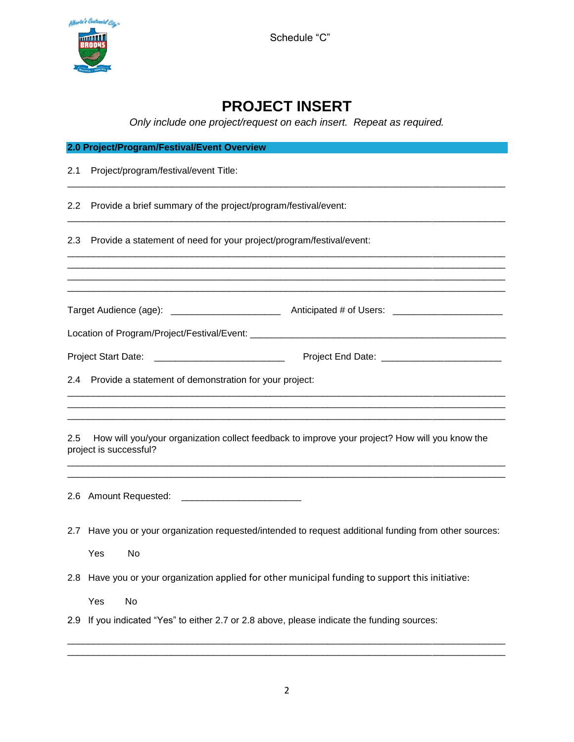

Schedule "C"

### **PROJECT INSERT**

*Only include one project/request on each insert. Repeat as required.*

|                  | 2.0 Project/Program/Festival/Event Overview                                                                              |
|------------------|--------------------------------------------------------------------------------------------------------------------------|
| 2.1              | Project/program/festival/event Title:                                                                                    |
| $2.2\phantom{0}$ | Provide a brief summary of the project/program/festival/event:                                                           |
| 2.3              | Provide a statement of need for your project/program/festival/event:                                                     |
|                  |                                                                                                                          |
|                  |                                                                                                                          |
|                  | Project Start Date: ______________________________                                                                       |
|                  | 2.4 Provide a statement of demonstration for your project:                                                               |
| 2.5              | How will you/your organization collect feedback to improve your project? How will you know the<br>project is successful? |
|                  | 2.6 Amount Requested: ___________________________                                                                        |
| 2.7              | Have you or your organization requested/intended to request additional funding from other sources:<br>Yes<br>No          |
| 2.8 <sub>2</sub> | Have you or your organization applied for other municipal funding to support this initiative:                            |
|                  | Yes<br>No                                                                                                                |
| 2.9              | If you indicated "Yes" to either 2.7 or 2.8 above, please indicate the funding sources:                                  |

\_\_\_\_\_\_\_\_\_\_\_\_\_\_\_\_\_\_\_\_\_\_\_\_\_\_\_\_\_\_\_\_\_\_\_\_\_\_\_\_\_\_\_\_\_\_\_\_\_\_\_\_\_\_\_\_\_\_\_\_\_\_\_\_\_\_\_\_\_\_\_\_\_\_\_\_\_\_\_\_\_\_\_\_